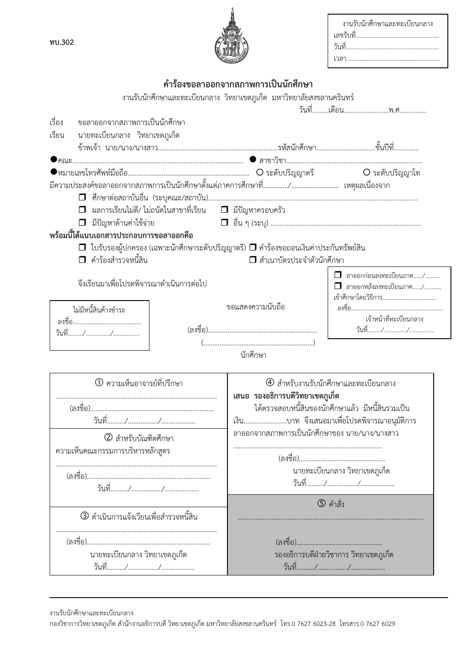| งานรับนักศึกษาและทะเบียนกลาง |
|------------------------------|
|                              |
|                              |
|                              |



## คำร้องขอลาออกจากสภาพการเป็นนักศึกษา

| เรื่อง<br>ขอลาออกจากสภาพการเป็นนักศึกษา<br>นายทะเบียนกลาง วิทยาเขตภูเก็ต<br>เรียน               |                                                                         |  |  |  |  |
|-------------------------------------------------------------------------------------------------|-------------------------------------------------------------------------|--|--|--|--|
|                                                                                                 |                                                                         |  |  |  |  |
|                                                                                                 |                                                                         |  |  |  |  |
|                                                                                                 |                                                                         |  |  |  |  |
|                                                                                                 |                                                                         |  |  |  |  |
|                                                                                                 |                                                                         |  |  |  |  |
|                                                                                                 |                                                                         |  |  |  |  |
|                                                                                                 |                                                                         |  |  |  |  |
| ผลการเรียนไม่ดี∕ ไม่ถนัดในสาขาที่เรียน                 มีปัญหาครอบครัว<br>$\Box$                |                                                                         |  |  |  |  |
| มีปัญหาด้านค่าใช้จ่าย                                                                           |                                                                         |  |  |  |  |
| พร้อมนี้ได้แนบเอกสารประกอบการขอลาออกคือ                                                         |                                                                         |  |  |  |  |
| $\Box$ ใบรับรองผู้ปกครอง (เฉพาะนักศึกษาระดับปริญญาตรี) $\Box$ คำร้องขอถอนเงินค่าประกันทรัพย์สิน |                                                                         |  |  |  |  |
| □ คำร้องสำรวจหนี้สิน                                                                            | ◘ สำเนาบัตรประจำตัวนักศึกษา                                             |  |  |  |  |
|                                                                                                 |                                                                         |  |  |  |  |
| จึงเรียนมาเพื่อโปรดพิจารณาดำเนินการต่อไป                                                        | $\Box$ ลาออกก่อนลงทะเบียนภาค/<br>$\Box$ ลาออกหลังลงทะเบียนภาค/          |  |  |  |  |
|                                                                                                 |                                                                         |  |  |  |  |
| ขอแสดงความนับถือ<br>ไม่มีหนี้สินค้างชำระ                                                        |                                                                         |  |  |  |  |
|                                                                                                 | เจ้าหน้าที่ทะเบียนกลาง                                                  |  |  |  |  |
|                                                                                                 |                                                                         |  |  |  |  |
|                                                                                                 |                                                                         |  |  |  |  |
| นักศึกษา                                                                                        |                                                                         |  |  |  |  |
| <sup>1</sup> ความเห็นอาจารย์ที่ปรึกษา                                                           | 4 สำหรับงานรับนักศึกษาและทะเบียนกลาง<br>เสนอ รองอธิการบดีวิทยาเขตภูเก็ต |  |  |  |  |
|                                                                                                 | ได้ตรวจสอบหนี้สินของนักศึกษาแล้ว มีหนี้สินรวมเป็น                       |  |  |  |  |
|                                                                                                 | เงินบาท จึงเสนอมาเพื่อโปรดพิจารณาอนุมัติการ                             |  |  |  |  |
|                                                                                                 | ลาออกจากสภาพการเป็นนักศึกษาของ นาย/นาง/นางสาว                           |  |  |  |  |
| 2 สำหรับบัณฑิตศึกษา                                                                             |                                                                         |  |  |  |  |
| ความเห็นคณะกรรมการบริหารหลักสูตร                                                                |                                                                         |  |  |  |  |
|                                                                                                 | นายทะเบียนกลาง วิทยาเขตภูเก็ต                                           |  |  |  |  |
|                                                                                                 |                                                                         |  |  |  |  |
|                                                                                                 |                                                                         |  |  |  |  |
|                                                                                                 | $\circledS$ คำสั่ง                                                      |  |  |  |  |
| ี่ 3) ดำเนินการแจ้งเวียนเพื่อสำรวจหนี้สิน                                                       |                                                                         |  |  |  |  |
|                                                                                                 |                                                                         |  |  |  |  |
| (ลงชื่อ)                                                                                        |                                                                         |  |  |  |  |
| นายทะเบียนกลาง วิทยาเขตภูเก็ต                                                                   | รองอธิการบดีฝ่ายวิชาการ วิทยาเขตภูเก็ต                                  |  |  |  |  |
|                                                                                                 |                                                                         |  |  |  |  |

งานรับนักศึกษาและทะเบียนกลาง

<sup>้&</sup>lt;br>กองวิชาการวิทยาเขตภูเก็ต สำนักงานอธิการบดี วิทยาเขตภูเก็ต มหาวิทยาลัยสงขลานครินทร์ โทร.0 7627 6023-28 โทรสาร.0 7627 6029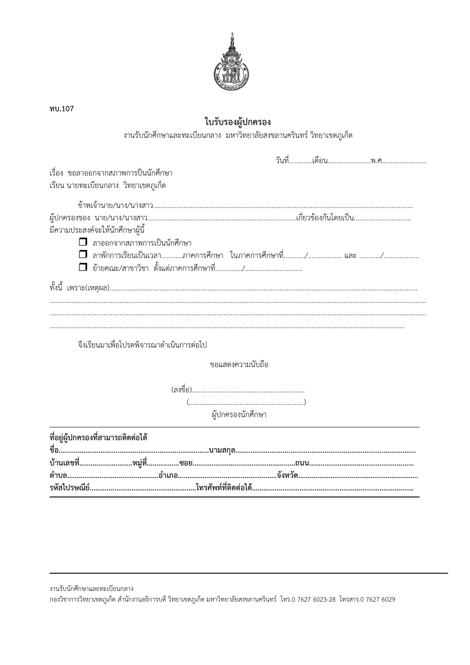

| ใบรับรองผู้ปกครอง                                                                                                                                                                                                               |
|---------------------------------------------------------------------------------------------------------------------------------------------------------------------------------------------------------------------------------|
| งานรับนักศึกษาและทะเบียนกลาง มหาวิทยาลัยสงขลานครินทร์ วิทยาเขตภูเก็ต                                                                                                                                                            |
|                                                                                                                                                                                                                                 |
| เรื่อง ขอลาออกจากสภาพการป็นนักศึกษา<br>เรียน นายทะเบียนกลาง วิทยาเขตภูเก็ต                                                                                                                                                      |
| มีความประสงค์จะให้นักศึกษาผู้นี้                                                                                                                                                                                                |
| $\Box$ ลาออกจากสภาพการเป็นนักศึกษา<br>$\Box$ ลาพักการเรียนเป็นเวลาภาคการศึกษา ในภาคการศึกษาที่/ และ /                                                                                                                           |
|                                                                                                                                                                                                                                 |
| $\sim$ . The contract of the contract of the contract of the contract of the contract of the contract of the contract of the contract of the contract of the contract of the contract of the contract of the contract of the co |
| จึงเรียนมาเพื่อโปรดพิจารณาดำเนินการต่อไป                                                                                                                                                                                        |
| ขอแสดงความนับถือ                                                                                                                                                                                                                |
| $(\ldots,\ldots,\ldots,\ldots,\ldots,\ldots,\ldots,\ldots,\ldots,\ldots,\ldots,\ldots))$                                                                                                                                        |
| ผู้ปกครองนักศึกษา                                                                                                                                                                                                               |
| ที่อยู่ผู้ปกครองที่สามารถติดต่อได้                                                                                                                                                                                              |
|                                                                                                                                                                                                                                 |
|                                                                                                                                                                                                                                 |

พบ.107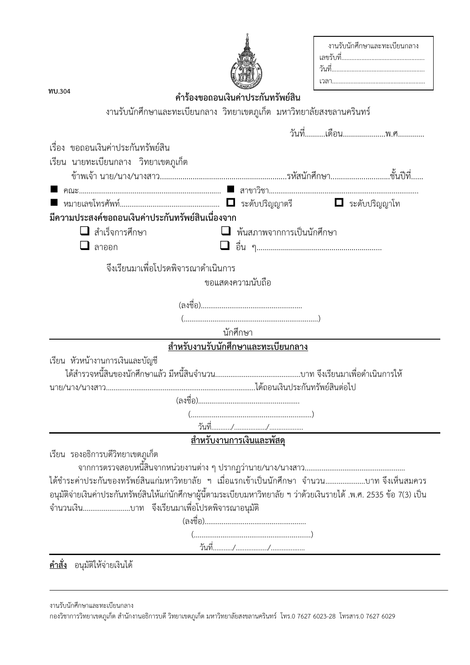| งานรับนักศึกษาและทะเบียนกลาง |
|------------------------------|
|                              |
|                              |
|                              |

| ทบ.304                                            | คำร้องขอถอนเงินค่าประกันทรัพย์สิน                                                                                                                                                                                      |                              |
|---------------------------------------------------|------------------------------------------------------------------------------------------------------------------------------------------------------------------------------------------------------------------------|------------------------------|
|                                                   | งานรับนักศึกษาและทะเบียนกลาง วิทยาเขตภูเก็ต มหาวิทยาลัยสงขลานครินทร์                                                                                                                                                   |                              |
|                                                   |                                                                                                                                                                                                                        | วันที่เดือนพ.ศ               |
| เรื่อง ขอถอนเงินค่าประกันทรัพย์สิน                |                                                                                                                                                                                                                        |                              |
| เรียน นายทะเบียนกลาง วิทยาเขตภูเก็ต               |                                                                                                                                                                                                                        |                              |
|                                                   |                                                                                                                                                                                                                        |                              |
|                                                   |                                                                                                                                                                                                                        |                              |
| มีความประสงค์ขอถอนเงินค่าประกันทรัพย์สินเนื่องจาก |                                                                                                                                                                                                                        | $\blacksquare$ ระดับปริญญาโท |
| $\Box$ สำเร็จการศึกษา                             | $\Box$ พ้นสภาพจากการเป็นนักศึกษา                                                                                                                                                                                       |                              |
| $\Box$ ลาออก                                      |                                                                                                                                                                                                                        |                              |
| จึงเรียนมาเพื่อโปรดพิจารณาดำเนินการ               | ขอแสดงความนับถือ                                                                                                                                                                                                       |                              |
|                                                   |                                                                                                                                                                                                                        |                              |
|                                                   |                                                                                                                                                                                                                        |                              |
|                                                   | นักศึกษา                                                                                                                                                                                                               |                              |
|                                                   | <u>ี<br/>สำหรับงานรับนักศึกษาและทะเบียนกลาง</u>                                                                                                                                                                        |                              |
| เรียน หัวหน้างานการเงินและบัญชี                   |                                                                                                                                                                                                                        |                              |
|                                                   |                                                                                                                                                                                                                        |                              |
|                                                   |                                                                                                                                                                                                                        |                              |
|                                                   |                                                                                                                                                                                                                        |                              |
|                                                   |                                                                                                                                                                                                                        |                              |
|                                                   | <u>สำหรับงานการเงินและพัสดุ</u>                                                                                                                                                                                        |                              |
| เรียน รองอธิการบดีวิทยาเขตภูเก็ต                  |                                                                                                                                                                                                                        |                              |
|                                                   |                                                                                                                                                                                                                        |                              |
|                                                   | ได้ชำระค่าประกันของทรัพย์สินแก่มหาวิทยาลัย ฯ เมื่อแรกเข้าเป็นนักศึกษา จำนวนบาท จึงเห็นสมควร<br>อนุมัติจ่ายเงินค่าประกันทรัพย์สินให้แก่นักศึกษาผู้นี้ตามระเบียบมหาวิทยาลัย ฯ ว่าด้วยเงินรายได้ .พ.ศ. 2535 ข้อ 7(3) เป็น |                              |
| จำนวนเงินบาท จึงเรียนมาเพื่อโปรดพิจารณาอนุมัติ    |                                                                                                                                                                                                                        |                              |
|                                                   | $(\ldots,\ldots,\ldots,\ldots,\ldots,\ldots,\ldots,\ldots,\ldots,\ldots,\ldots,\ldots))$                                                                                                                               |                              |

งานรับนักศึกษาและทะเบียนกลาง

กองวิชาการวิทยาเขตภูเก็ต สำนักงานอธิการบดี วิทยาเขตภูเก็ต มหาวิทยาลัยสงขลานครินทร์ โทร.0 7627 6023-28 โทรสาร.0 7627 6029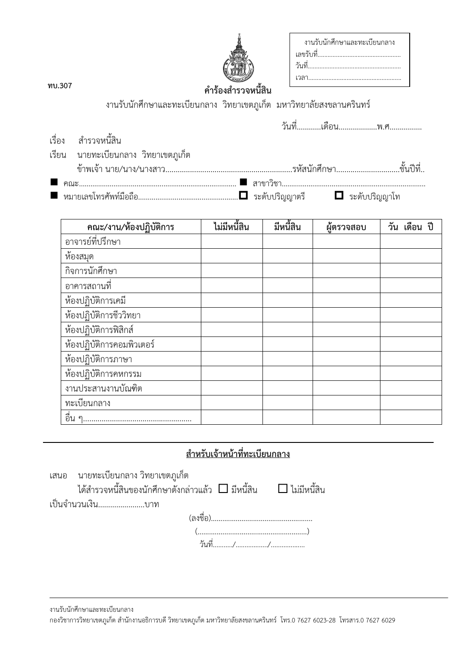| งานรับนักศึกษาและทะเบียนกลาง |
|------------------------------|
|                              |
|                              |
|                              |

พบ.307

## คำร้องสำรวจหนี้สิน

งานรับนักศึกษาและทะเบียนกลาง วิทยาเขตภูเก็ต มหาวิทยาลัยสงขลานครินทร์

| เรื่อง สำรวจหนี้สิน                    |  |  |
|----------------------------------------|--|--|
| เรียน   นายทะเบียนกลาง  วิทยาเขตภูเก็ต |  |  |
|                                        |  |  |
|                                        |  |  |
|                                        |  |  |

| คณะ/งาน/ห้องปฏิบัติการ    | ไม่มีหนี้สิน | มีหนี้สิน | ผ้ตรวจสอบ | วัน เดือน ปี |
|---------------------------|--------------|-----------|-----------|--------------|
| อาจารย์ที่ปรึกษา          |              |           |           |              |
| ห้องสมุด                  |              |           |           |              |
| กิจการนักศึกษา            |              |           |           |              |
| อาคารสถานที               |              |           |           |              |
| ห้องปฏิบัติการเคมี        |              |           |           |              |
| ห้องปฏิบัติการชีววิทยา    |              |           |           |              |
| ห้องปฏิบัติการฟิสิกส์     |              |           |           |              |
| ห้องปฏิบัติการคอมพิวเตอร์ |              |           |           |              |
| ห้องปฏิบัติการภาษา        |              |           |           |              |
| ห้องปฏิบัติการคหกรรม      |              |           |           |              |
| งานประสานงานบัณฑิต        |              |           |           |              |
| ทะเบียนกลาง               |              |           |           |              |
| อื่น                      |              |           |           |              |

## <u>สำหรับเจ้าหน้าที่ทะเบียนกลาง</u>

นายทะเบียนกลาง วิทยาเขตภูเก็ต เสนอ

ี่ ได้สำรวจหนี้สินของนักศึกษาดังกล่าวแล้ว  $\Box$  มีหนี้สิน  $\Box$  ไม่มีหนี้สิน

เป็นจำนวนเงิน.......................บาท

 $(\ldots,\ldots,\ldots,\ldots,\ldots,\ldots,\ldots,\ldots,\ldots,\ldots,\ldots))$